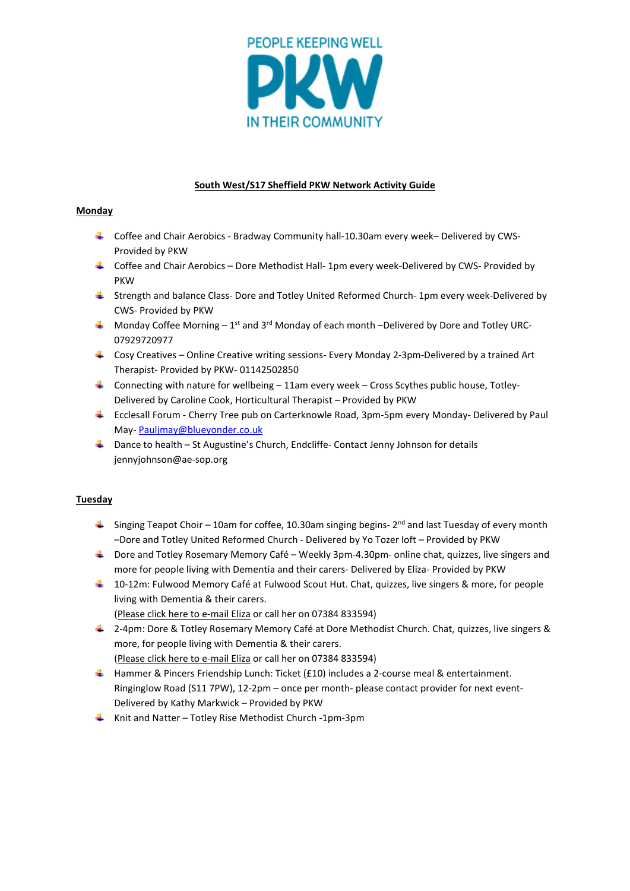

# South West/S17 Sheffield PKW Network Activity Guide

## Monday

- Coffee and Chair Aerobics Bradway Community hall-10.30am every week– Delivered by CWS-Provided by PKW
- Coffee and Chair Aerobics Dore Methodist Hall- 1pm every week-Delivered by CWS- Provided by PKW
- Strength and balance Class- Dore and Totley United Reformed Church- 1pm every week-Delivered by CWS- Provided by PKW
- $\downarrow$  Monday Coffee Morning 1<sup>st</sup> and 3<sup>rd</sup> Monday of each month –Delivered by Dore and Totley URC-07929720977
- $\ddot{\phantom{1}}$  Cosy Creatives Online Creative writing sessions- Every Monday 2-3pm-Delivered by a trained Art Therapist- Provided by PKW- 01142502850
- $\downarrow$  Connecting with nature for wellbeing 11am every week Cross Scythes public house, Totley-Delivered by Caroline Cook, Horticultural Therapist – Provided by PKW
- Ecclesall Forum Cherry Tree pub on Carterknowle Road, 3pm-5pm every Monday- Delivered by Paul May- Pauljmay@blueyonder.co.uk
- Dance to health St Augustine's Church, Endcliffe- Contact Jenny Johnson for details jennyjohnson@ae-sop.org

# Tuesday

- $\frac{1}{2}$  Singing Teapot Choir 10am for coffee, 10.30am singing begins- 2<sup>nd</sup> and last Tuesday of every month –Dore and Totley United Reformed Church - Delivered by Yo Tozer loft – Provided by PKW
- $\blacktriangle$  Dore and Totley Rosemary Memory Café Weekly 3pm-4.30pm- online chat, quizzes, live singers and more for people living with Dementia and their carers- Delivered by Eliza- Provided by PKW
- <sup>1</sup> 10-12m: Fulwood Memory Café at Fulwood Scout Hut. Chat, quizzes, live singers & more, for people living with Dementia & their carers.
	- (Please click here to e-mail Eliza or call her on 07384 833594)
- ↓ 2-4pm: Dore & Totley Rosemary Memory Café at Dore Methodist Church. Chat, quizzes, live singers & more, for people living with Dementia & their carers.
- (Please click here to e-mail Eliza or call her on 07384 833594) **H** Hammer & Pincers Friendship Lunch: Ticket (£10) includes a 2-course meal & entertainment.
- Ringinglow Road (S11 7PW), 12-2pm once per month- please contact provider for next event-Delivered by Kathy Markwick – Provided by PKW
- Knit and Natter Totley Rise Methodist Church -1pm-3pm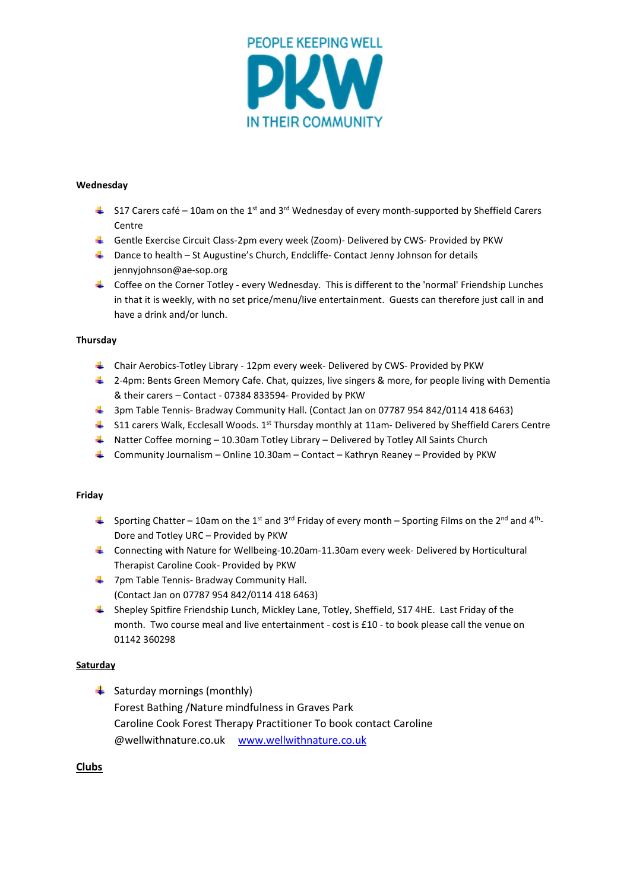

### Wednesday

- $\frac{1}{2}$  S17 Carers café 10am on the 1<sup>st</sup> and 3<sup>rd</sup> Wednesday of every month-supported by Sheffield Carers Centre
- Gentle Exercise Circuit Class-2pm every week (Zoom)- Delivered by CWS- Provided by PKW
- $\downarrow$  Dance to health St Augustine's Church, Endcliffe- Contact Jenny Johnson for details jennyjohnson@ae-sop.org
- Coffee on the Corner Totley every Wednesday. This is different to the 'normal' Friendship Lunches in that it is weekly, with no set price/menu/live entertainment. Guests can therefore just call in and have a drink and/or lunch.

#### **Thursday**

- Chair Aerobics-Totley Library 12pm every week- Delivered by CWS- Provided by PKW
- $\ddag$  2-4pm: Bents Green Memory Cafe. Chat, quizzes, live singers & more, for people living with Dementia & their carers – Contact - 07384 833594- Provided by PKW
- <sup>1</sup> 3pm Table Tennis- Bradway Community Hall. (Contact Jan on 07787 954 842/0114 418 6463)
- $\frac{4}{3}$  S11 carers Walk, Ecclesall Woods. 1<sup>st</sup> Thursday monthly at 11am- Delivered by Sheffield Carers Centre
- $\downarrow$  Natter Coffee morning 10.30am Totley Library Delivered by Totley All Saints Church
- Community Journalism Online 10.30am Contact Kathryn Reaney Provided by PKW

### Friday

- Sporting Chatter 10am on the 1<sup>st</sup> and 3<sup>rd</sup> Friday of every month Sporting Films on the 2<sup>nd</sup> and 4<sup>th</sup>-Dore and Totley URC – Provided by PKW
- Connecting with Nature for Wellbeing-10.20am-11.30am every week- Delivered by Horticultural Therapist Caroline Cook- Provided by PKW
- $\frac{1}{2}$  7pm Table Tennis- Bradway Community Hall. (Contact Jan on 07787 954 842/0114 418 6463)
- Shepley Spitfire Friendship Lunch, Mickley Lane, Totley, Sheffield, S17 4HE. Last Friday of the month. Two course meal and live entertainment - cost is £10 - to book please call the venue on 01142 360298

#### **Saturday**

 $\frac{1}{2}$  Saturday mornings (monthly) Forest Bathing /Nature mindfulness in Graves Park Caroline Cook Forest Therapy Practitioner To book contact Caroline @wellwithnature.co.uk www.wellwithnature.co.uk

### Clubs